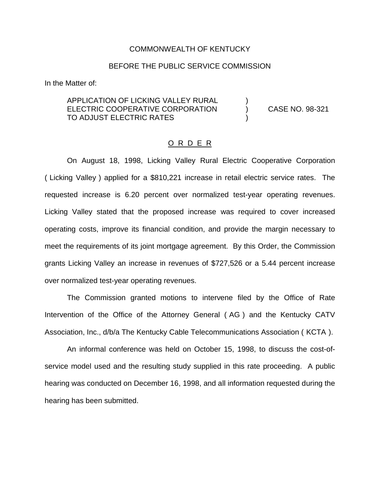### COMMONWEALTH OF KENTUCKY

### BEFORE THE PUBLIC SERVICE COMMISSION

In the Matter of:

### APPLICATION OF LICKING VALLEY RURAL ELECTRIC COOPERATIVE CORPORATION (CASE NO. 98-321) TO ADJUST ELECTRIC RATES

### O R D E R

On August 18, 1998, Licking Valley Rural Electric Cooperative Corporation ( Licking Valley ) applied for a \$810,221 increase in retail electric service rates. The requested increase is 6.20 percent over normalized test-year operating revenues. Licking Valley stated that the proposed increase was required to cover increased operating costs, improve its financial condition, and provide the margin necessary to meet the requirements of its joint mortgage agreement. By this Order, the Commission grants Licking Valley an increase in revenues of \$727,526 or a 5.44 percent increase over normalized test-year operating revenues.

The Commission granted motions to intervene filed by the Office of Rate Intervention of the Office of the Attorney General ( AG ) and the Kentucky CATV Association, Inc., d/b/a The Kentucky Cable Telecommunications Association ( KCTA ).

An informal conference was held on October 15, 1998, to discuss the cost-ofservice model used and the resulting study supplied in this rate proceeding. A public hearing was conducted on December 16, 1998, and all information requested during the hearing has been submitted.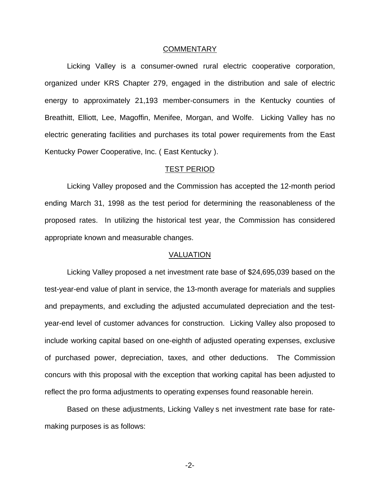#### COMMENTARY

Licking Valley is a consumer-owned rural electric cooperative corporation, organized under KRS Chapter 279, engaged in the distribution and sale of electric energy to approximately 21,193 member-consumers in the Kentucky counties of Breathitt, Elliott, Lee, Magoffin, Menifee, Morgan, and Wolfe. Licking Valley has no electric generating facilities and purchases its total power requirements from the East Kentucky Power Cooperative, Inc. ( East Kentucky ).

### TEST PERIOD

Licking Valley proposed and the Commission has accepted the 12-month period ending March 31, 1998 as the test period for determining the reasonableness of the proposed rates. In utilizing the historical test year, the Commission has considered appropriate known and measurable changes.

### VALUATION

Licking Valley proposed a net investment rate base of \$24,695,039 based on the test-year-end value of plant in service, the 13-month average for materials and supplies and prepayments, and excluding the adjusted accumulated depreciation and the testyear-end level of customer advances for construction. Licking Valley also proposed to include working capital based on one-eighth of adjusted operating expenses, exclusive of purchased power, depreciation, taxes, and other deductions. The Commission concurs with this proposal with the exception that working capital has been adjusted to reflect the pro forma adjustments to operating expenses found reasonable herein.

Based on these adjustments, Licking Valley s net investment rate base for ratemaking purposes is as follows:

-2-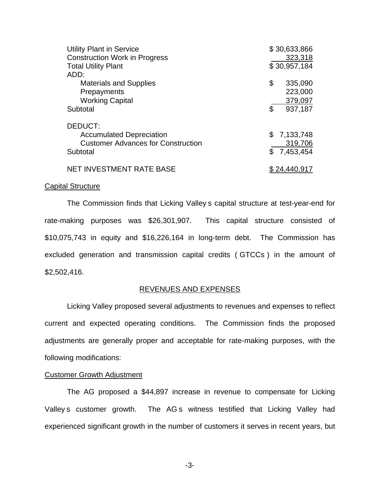| <b>Utility Plant in Service</b><br><b>Construction Work in Progress</b> | \$30,633,866<br>323,318 |
|-------------------------------------------------------------------------|-------------------------|
| <b>Total Utility Plant</b>                                              | \$30,957,184            |
| ADD:                                                                    |                         |
| <b>Materials and Supplies</b>                                           | \$<br>335,090           |
| Prepayments                                                             | 223,000                 |
| <b>Working Capital</b>                                                  | 379,097                 |
| Subtotal                                                                | \$<br>937,187           |
| DEDUCT:                                                                 |                         |
| <b>Accumulated Depreciation</b>                                         | \$7,133,748             |
| <b>Customer Advances for Construction</b>                               | 319,706                 |
| Subtotal                                                                | \$7,453,454             |
| <b>NET INVESTMENT RATE BASE</b>                                         |                         |

#### Capital Structure

The Commission finds that Licking Valley s capital structure at test-year-end for rate-making purposes was \$26,301,907. This capital structure consisted of \$10,075,743 in equity and \$16,226,164 in long-term debt. The Commission has excluded generation and transmission capital credits ( GTCCs ) in the amount of \$2,502,416.

#### REVENUES AND EXPENSES

Licking Valley proposed several adjustments to revenues and expenses to reflect current and expected operating conditions. The Commission finds the proposed adjustments are generally proper and acceptable for rate-making purposes, with the following modifications:

#### Customer Growth Adjustment

The AG proposed a \$44,897 increase in revenue to compensate for Licking Valley s customer growth. The AG s witness testified that Licking Valley had experienced significant growth in the number of customers it serves in recent years, but

-3-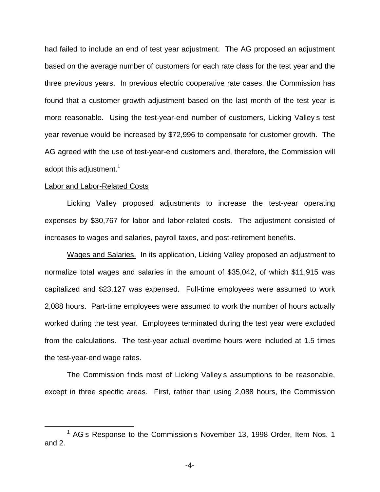had failed to include an end of test year adjustment. The AG proposed an adjustment based on the average number of customers for each rate class for the test year and the three previous years. In previous electric cooperative rate cases, the Commission has found that a customer growth adjustment based on the last month of the test year is more reasonable. Using the test-year-end number of customers, Licking Valley s test year revenue would be increased by \$72,996 to compensate for customer growth. The AG agreed with the use of test-year-end customers and, therefore, the Commission will adopt this adjustment.<sup>1</sup>

### Labor and Labor-Related Costs

Licking Valley proposed adjustments to increase the test-year operating expenses by \$30,767 for labor and labor-related costs. The adjustment consisted of increases to wages and salaries, payroll taxes, and post-retirement benefits.

Wages and Salaries. In its application, Licking Valley proposed an adjustment to normalize total wages and salaries in the amount of \$35,042, of which \$11,915 was capitalized and \$23,127 was expensed. Full-time employees were assumed to work 2,088 hours. Part-time employees were assumed to work the number of hours actually worked during the test year. Employees terminated during the test year were excluded from the calculations. The test-year actual overtime hours were included at 1.5 times the test-year-end wage rates.

The Commission finds most of Licking Valley s assumptions to be reasonable, except in three specific areas. First, rather than using 2,088 hours, the Commission

 $<sup>1</sup>$  AG s Response to the Commission s November 13, 1998 Order, Item Nos. 1</sup> and 2.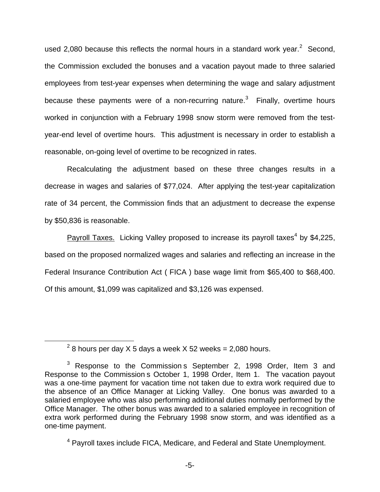used 2,080 because this reflects the normal hours in a standard work year. $2$  Second, the Commission excluded the bonuses and a vacation payout made to three salaried employees from test-year expenses when determining the wage and salary adjustment because these payments were of a non-recurring nature.<sup>3</sup> Finally, overtime hours worked in conjunction with a February 1998 snow storm were removed from the testyear-end level of overtime hours. This adjustment is necessary in order to establish a reasonable, on-going level of overtime to be recognized in rates.

Recalculating the adjustment based on these three changes results in a decrease in wages and salaries of \$77,024. After applying the test-year capitalization rate of 34 percent, the Commission finds that an adjustment to decrease the expense by \$50,836 is reasonable.

Payroll Taxes. Licking Valley proposed to increase its payroll taxes<sup>4</sup> by \$4,225, based on the proposed normalized wages and salaries and reflecting an increase in the Federal Insurance Contribution Act ( FICA ) base wage limit from \$65,400 to \$68,400. Of this amount, \$1,099 was capitalized and \$3,126 was expensed.

 $2$  8 hours per day X 5 days a week X 52 weeks = 2,080 hours.

 $3$  Response to the Commission s September 2, 1998 Order, Item 3 and Response to the Commission s October 1, 1998 Order, Item 1. The vacation payout was a one-time payment for vacation time not taken due to extra work required due to the absence of an Office Manager at Licking Valley. One bonus was awarded to a salaried employee who was also performing additional duties normally performed by the Office Manager. The other bonus was awarded to a salaried employee in recognition of extra work performed during the February 1998 snow storm, and was identified as a one-time payment.

<sup>4</sup> Payroll taxes include FICA, Medicare, and Federal and State Unemployment.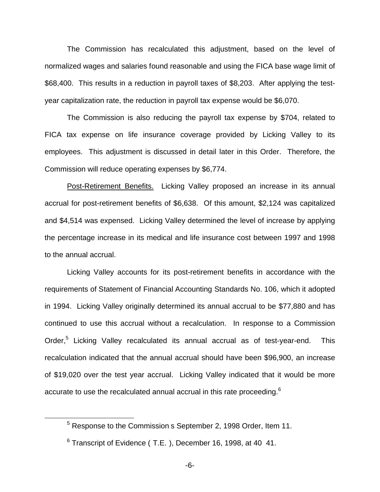The Commission has recalculated this adjustment, based on the level of normalized wages and salaries found reasonable and using the FICA base wage limit of \$68,400. This results in a reduction in payroll taxes of \$8,203. After applying the testyear capitalization rate, the reduction in payroll tax expense would be \$6,070.

The Commission is also reducing the payroll tax expense by \$704, related to FICA tax expense on life insurance coverage provided by Licking Valley to its employees. This adjustment is discussed in detail later in this Order. Therefore, the Commission will reduce operating expenses by \$6,774.

Post-Retirement Benefits. Licking Valley proposed an increase in its annual accrual for post-retirement benefits of \$6,638. Of this amount, \$2,124 was capitalized and \$4,514 was expensed. Licking Valley determined the level of increase by applying the percentage increase in its medical and life insurance cost between 1997 and 1998 to the annual accrual.

Licking Valley accounts for its post-retirement benefits in accordance with the requirements of Statement of Financial Accounting Standards No. 106, which it adopted in 1994. Licking Valley originally determined its annual accrual to be \$77,880 and has continued to use this accrual without a recalculation. In response to a Commission Order,<sup>5</sup> Licking Valley recalculated its annual accrual as of test-year-end. This recalculation indicated that the annual accrual should have been \$96,900, an increase of \$19,020 over the test year accrual. Licking Valley indicated that it would be more accurate to use the recalculated annual accrual in this rate proceeding.<sup>6</sup>

<sup>5</sup> Response to the Commission s September 2, 1998 Order, Item 11.

 $6$  Transcript of Evidence (T.E.), December 16, 1998, at 40 41.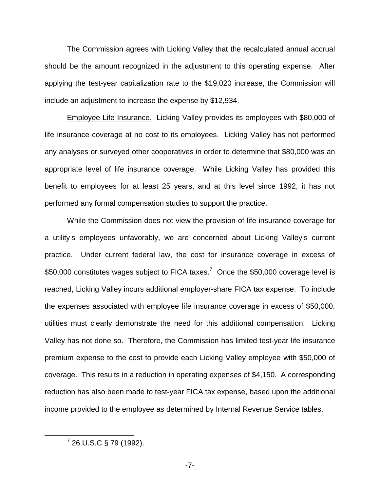The Commission agrees with Licking Valley that the recalculated annual accrual should be the amount recognized in the adjustment to this operating expense. After applying the test-year capitalization rate to the \$19,020 increase, the Commission will include an adjustment to increase the expense by \$12,934.

Employee Life Insurance. Licking Valley provides its employees with \$80,000 of life insurance coverage at no cost to its employees. Licking Valley has not performed any analyses or surveyed other cooperatives in order to determine that \$80,000 was an appropriate level of life insurance coverage. While Licking Valley has provided this benefit to employees for at least 25 years, and at this level since 1992, it has not performed any formal compensation studies to support the practice.

While the Commission does not view the provision of life insurance coverage for a utility s employees unfavorably, we are concerned about Licking Valley s current practice. Under current federal law, the cost for insurance coverage in excess of \$50,000 constitutes wages subject to FICA taxes.<sup>7</sup> Once the \$50,000 coverage level is reached, Licking Valley incurs additional employer-share FICA tax expense. To include the expenses associated with employee life insurance coverage in excess of \$50,000, utilities must clearly demonstrate the need for this additional compensation. Licking Valley has not done so. Therefore, the Commission has limited test-year life insurance premium expense to the cost to provide each Licking Valley employee with \$50,000 of coverage. This results in a reduction in operating expenses of \$4,150. A corresponding reduction has also been made to test-year FICA tax expense, based upon the additional income provided to the employee as determined by Internal Revenue Service tables.

 $7$  26 U.S.C § 79 (1992).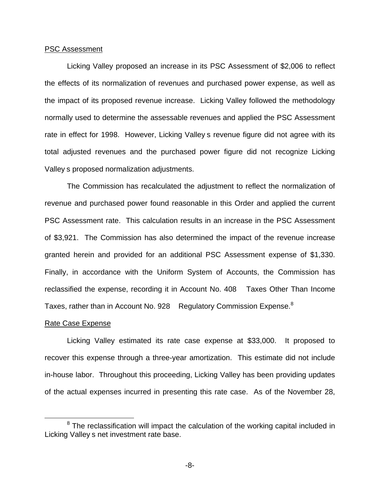### PSC Assessment

Licking Valley proposed an increase in its PSC Assessment of \$2,006 to reflect the effects of its normalization of revenues and purchased power expense, as well as the impact of its proposed revenue increase. Licking Valley followed the methodology normally used to determine the assessable revenues and applied the PSC Assessment rate in effect for 1998. However, Licking Valley s revenue figure did not agree with its total adjusted revenues and the purchased power figure did not recognize Licking Valley s proposed normalization adjustments.

The Commission has recalculated the adjustment to reflect the normalization of revenue and purchased power found reasonable in this Order and applied the current PSC Assessment rate. This calculation results in an increase in the PSC Assessment of \$3,921. The Commission has also determined the impact of the revenue increase granted herein and provided for an additional PSC Assessment expense of \$1,330. Finally, in accordance with the Uniform System of Accounts, the Commission has reclassified the expense, recording it in Account No. 408 Taxes Other Than Income Taxes, rather than in Account No. 928 Regulatory Commission Expense.<sup>8</sup>

#### Rate Case Expense

Licking Valley estimated its rate case expense at \$33,000. It proposed to recover this expense through a three-year amortization. This estimate did not include in-house labor. Throughout this proceeding, Licking Valley has been providing updates of the actual expenses incurred in presenting this rate case. As of the November 28,

 $8$  The reclassification will impact the calculation of the working capital included in Licking Valley s net investment rate base.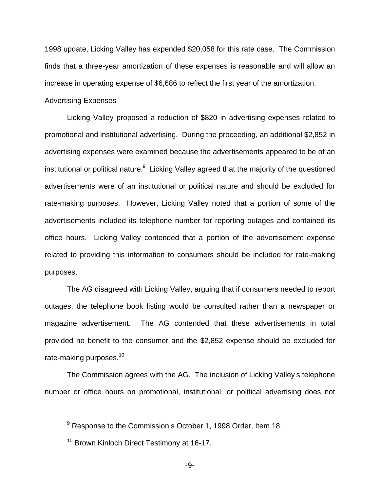1998 update, Licking Valley has expended \$20,058 for this rate case. The Commission finds that a three-year amortization of these expenses is reasonable and will allow an increase in operating expense of \$6,686 to reflect the first year of the amortization.

#### Advertising Expenses

Licking Valley proposed a reduction of \$820 in advertising expenses related to promotional and institutional advertising. During the proceeding, an additional \$2,852 in advertising expenses were examined because the advertisements appeared to be of an institutional or political nature. $9$  Licking Valley agreed that the majority of the questioned advertisements were of an institutional or political nature and should be excluded for rate-making purposes. However, Licking Valley noted that a portion of some of the advertisements included its telephone number for reporting outages and contained its office hours. Licking Valley contended that a portion of the advertisement expense related to providing this information to consumers should be included for rate-making purposes.

The AG disagreed with Licking Valley, arguing that if consumers needed to report outages, the telephone book listing would be consulted rather than a newspaper or magazine advertisement. The AG contended that these advertisements in total provided no benefit to the consumer and the \$2,852 expense should be excluded for rate-making purposes.<sup>10</sup>

The Commission agrees with the AG. The inclusion of Licking Valley s telephone number or office hours on promotional, institutional, or political advertising does not

<sup>&</sup>lt;sup>9</sup> Response to the Commission s October 1, 1998 Order, Item 18.

<sup>&</sup>lt;sup>10</sup> Brown Kinloch Direct Testimony at 16-17.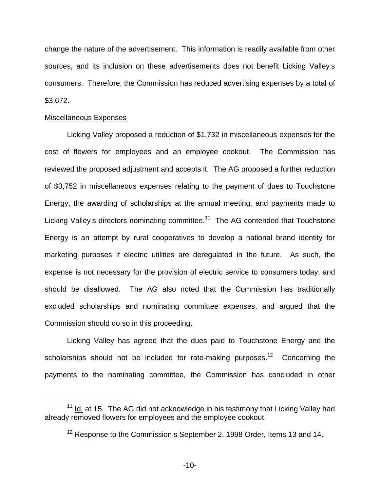change the nature of the advertisement. This information is readily available from other sources, and its inclusion on these advertisements does not benefit Licking Valley s consumers. Therefore, the Commission has reduced advertising expenses by a total of \$3,672.

### Miscellaneous Expenses

Licking Valley proposed a reduction of \$1,732 in miscellaneous expenses for the cost of flowers for employees and an employee cookout. The Commission has reviewed the proposed adjustment and accepts it. The AG proposed a further reduction of \$3,752 in miscellaneous expenses relating to the payment of dues to Touchstone Energy, the awarding of scholarships at the annual meeting, and payments made to Licking Valley s directors nominating committee.<sup>11</sup> The AG contended that Touchstone Energy is an attempt by rural cooperatives to develop a national brand identity for marketing purposes if electric utilities are deregulated in the future. As such, the expense is not necessary for the provision of electric service to consumers today, and should be disallowed. The AG also noted that the Commission has traditionally excluded scholarships and nominating committee expenses, and argued that the Commission should do so in this proceeding.

Licking Valley has agreed that the dues paid to Touchstone Energy and the scholarships should not be included for rate-making purposes.<sup>12</sup> Concerning the payments to the nominating committee, the Commission has concluded in other

 $11$  Id. at 15. The AG did not acknowledge in his testimony that Licking Valley had already removed flowers for employees and the employee cookout.

 $12$  Response to the Commission s September 2, 1998 Order, Items 13 and 14.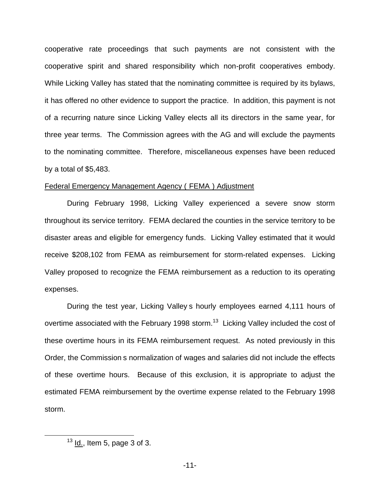cooperative rate proceedings that such payments are not consistent with the cooperative spirit and shared responsibility which non-profit cooperatives embody. While Licking Valley has stated that the nominating committee is required by its bylaws, it has offered no other evidence to support the practice. In addition, this payment is not of a recurring nature since Licking Valley elects all its directors in the same year, for three year terms. The Commission agrees with the AG and will exclude the payments to the nominating committee. Therefore, miscellaneous expenses have been reduced by a total of \$5,483.

#### Federal Emergency Management Agency ( FEMA ) Adjustment

During February 1998, Licking Valley experienced a severe snow storm throughout its service territory. FEMA declared the counties in the service territory to be disaster areas and eligible for emergency funds. Licking Valley estimated that it would receive \$208,102 from FEMA as reimbursement for storm-related expenses. Licking Valley proposed to recognize the FEMA reimbursement as a reduction to its operating expenses.

During the test year, Licking Valley s hourly employees earned 4,111 hours of overtime associated with the February 1998 storm.<sup>13</sup> Licking Valley included the cost of these overtime hours in its FEMA reimbursement request. As noted previously in this Order, the Commission s normalization of wages and salaries did not include the effects of these overtime hours. Because of this exclusion, it is appropriate to adjust the estimated FEMA reimbursement by the overtime expense related to the February 1998 storm.

 $13$  Id., Item 5, page 3 of 3.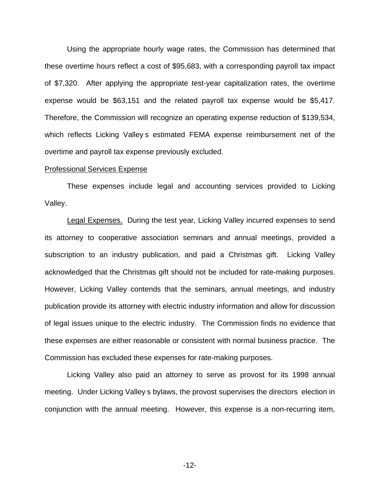Using the appropriate hourly wage rates, the Commission has determined that these overtime hours reflect a cost of \$95,683, with a corresponding payroll tax impact of \$7,320. After applying the appropriate test-year capitalization rates, the overtime expense would be \$63,151 and the related payroll tax expense would be \$5,417. Therefore, the Commission will recognize an operating expense reduction of \$139,534, which reflects Licking Valley s estimated FEMA expense reimbursement net of the overtime and payroll tax expense previously excluded.

#### Professional Services Expense

These expenses include legal and accounting services provided to Licking Valley.

Legal Expenses. During the test year, Licking Valley incurred expenses to send its attorney to cooperative association seminars and annual meetings, provided a subscription to an industry publication, and paid a Christmas gift. Licking Valley acknowledged that the Christmas gift should not be included for rate-making purposes. However, Licking Valley contends that the seminars, annual meetings, and industry publication provide its attorney with electric industry information and allow for discussion of legal issues unique to the electric industry. The Commission finds no evidence that these expenses are either reasonable or consistent with normal business practice. The Commission has excluded these expenses for rate-making purposes.

Licking Valley also paid an attorney to serve as provost for its 1998 annual meeting. Under Licking Valley s bylaws, the provost supervises the directors election in conjunction with the annual meeting. However, this expense is a non-recurring item,

-12-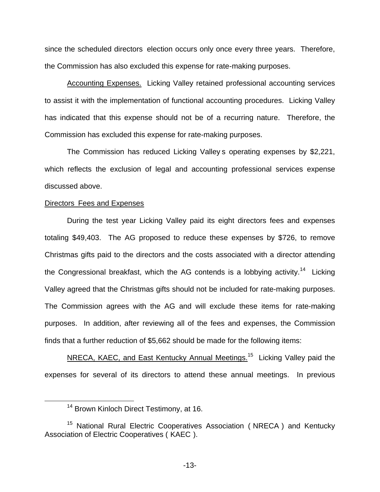since the scheduled directors election occurs only once every three years. Therefore, the Commission has also excluded this expense for rate-making purposes.

Accounting Expenses. Licking Valley retained professional accounting services to assist it with the implementation of functional accounting procedures. Licking Valley has indicated that this expense should not be of a recurring nature. Therefore, the Commission has excluded this expense for rate-making purposes.

The Commission has reduced Licking Valley s operating expenses by \$2,221, which reflects the exclusion of legal and accounting professional services expense discussed above.

### Directors Fees and Expenses

During the test year Licking Valley paid its eight directors fees and expenses totaling \$49,403. The AG proposed to reduce these expenses by \$726, to remove Christmas gifts paid to the directors and the costs associated with a director attending the Congressional breakfast, which the AG contends is a lobbying activity.<sup>14</sup> Licking Valley agreed that the Christmas gifts should not be included for rate-making purposes. The Commission agrees with the AG and will exclude these items for rate-making purposes. In addition, after reviewing all of the fees and expenses, the Commission finds that a further reduction of \$5,662 should be made for the following items:

NRECA, KAEC, and East Kentucky Annual Meetings.<sup>15</sup> Licking Valley paid the expenses for several of its directors to attend these annual meetings. In previous

<sup>&</sup>lt;sup>14</sup> Brown Kinloch Direct Testimony, at 16.

<sup>&</sup>lt;sup>15</sup> National Rural Electric Cooperatives Association (NRECA) and Kentucky Association of Electric Cooperatives ( KAEC ).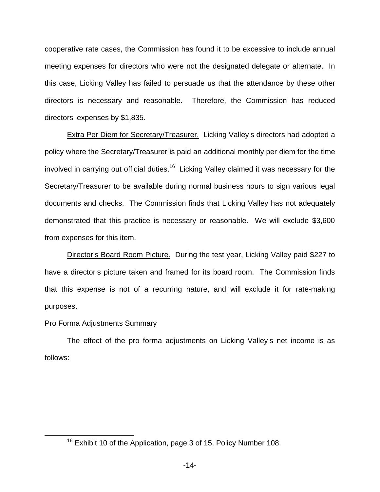cooperative rate cases, the Commission has found it to be excessive to include annual meeting expenses for directors who were not the designated delegate or alternate. In this case, Licking Valley has failed to persuade us that the attendance by these other directors is necessary and reasonable. Therefore, the Commission has reduced directors expenses by \$1,835.

Extra Per Diem for Secretary/Treasurer. Licking Valley s directors had adopted a policy where the Secretary/Treasurer is paid an additional monthly per diem for the time involved in carrying out official duties.<sup>16</sup> Licking Valley claimed it was necessary for the Secretary/Treasurer to be available during normal business hours to sign various legal documents and checks. The Commission finds that Licking Valley has not adequately demonstrated that this practice is necessary or reasonable. We will exclude \$3,600 from expenses for this item.

Director s Board Room Picture. During the test year, Licking Valley paid \$227 to have a director s picture taken and framed for its board room. The Commission finds that this expense is not of a recurring nature, and will exclude it for rate-making purposes.

### Pro Forma Adjustments Summary

The effect of the pro forma adjustments on Licking Valley s net income is as follows:

<sup>&</sup>lt;sup>16</sup> Exhibit 10 of the Application, page 3 of 15, Policy Number 108.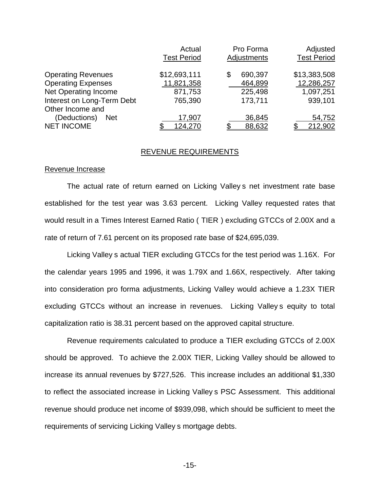|                             | Actual             | Pro Forma     | Adjusted           |
|-----------------------------|--------------------|---------------|--------------------|
|                             | <b>Test Period</b> | Adjustments   | <b>Test Period</b> |
| <b>Operating Revenues</b>   | \$12,693,111       | 690,397<br>\$ | \$13,383,508       |
| <b>Operating Expenses</b>   | 11,821,358         | 464,899       | 12,286,257         |
| <b>Net Operating Income</b> | 871,753            | 225,498       | 1,097,251          |
| Interest on Long-Term Debt  | 765,390            | 173,711       | 939,101            |
| Other Income and            |                    |               |                    |
| (Deductions)<br><b>Net</b>  | 17,907             | 36,845        | 54,752             |
| <b>NET INCOME</b>           | <u>124,270</u>     | 88,632        | 212,902            |

#### REVENUE REQUIREMENTS

### Revenue Increase

The actual rate of return earned on Licking Valley s net investment rate base established for the test year was 3.63 percent. Licking Valley requested rates that would result in a Times Interest Earned Ratio ( TIER ) excluding GTCCs of 2.00X and a rate of return of 7.61 percent on its proposed rate base of \$24,695,039.

Licking Valley s actual TIER excluding GTCCs for the test period was 1.16X. For the calendar years 1995 and 1996, it was 1.79X and 1.66X, respectively. After taking into consideration pro forma adjustments, Licking Valley would achieve a 1.23X TIER excluding GTCCs without an increase in revenues. Licking Valley s equity to total capitalization ratio is 38.31 percent based on the approved capital structure.

Revenue requirements calculated to produce a TIER excluding GTCCs of 2.00X should be approved. To achieve the 2.00X TIER, Licking Valley should be allowed to increase its annual revenues by \$727,526. This increase includes an additional \$1,330 to reflect the associated increase in Licking Valley s PSC Assessment. This additional revenue should produce net income of \$939,098, which should be sufficient to meet the requirements of servicing Licking Valley s mortgage debts.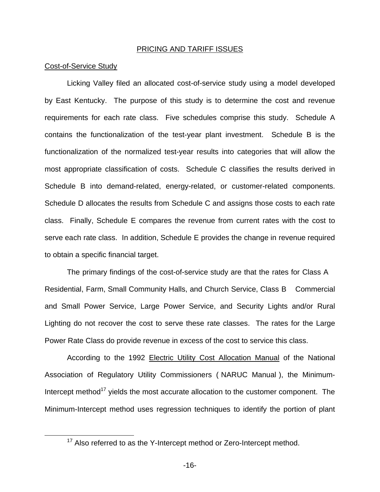#### PRICING AND TARIFF ISSUES

### Cost-of-Service Study

Licking Valley filed an allocated cost-of-service study using a model developed by East Kentucky. The purpose of this study is to determine the cost and revenue requirements for each rate class. Five schedules comprise this study. Schedule A contains the functionalization of the test-year plant investment. Schedule B is the functionalization of the normalized test-year results into categories that will allow the most appropriate classification of costs. Schedule C classifies the results derived in Schedule B into demand-related, energy-related, or customer-related components. Schedule D allocates the results from Schedule C and assigns those costs to each rate class. Finally, Schedule E compares the revenue from current rates with the cost to serve each rate class. In addition, Schedule E provides the change in revenue required to obtain a specific financial target.

The primary findings of the cost-of-service study are that the rates for Class A Residential, Farm, Small Community Halls, and Church Service, Class B Commercial and Small Power Service, Large Power Service, and Security Lights and/or Rural Lighting do not recover the cost to serve these rate classes. The rates for the Large Power Rate Class do provide revenue in excess of the cost to service this class.

According to the 1992 Electric Utility Cost Allocation Manual of the National Association of Regulatory Utility Commissioners ( NARUC Manual ), the Minimum-Intercept method $17$  yields the most accurate allocation to the customer component. The Minimum-Intercept method uses regression techniques to identify the portion of plant

<sup>&</sup>lt;sup>17</sup> Also referred to as the Y-Intercept method or Zero-Intercept method.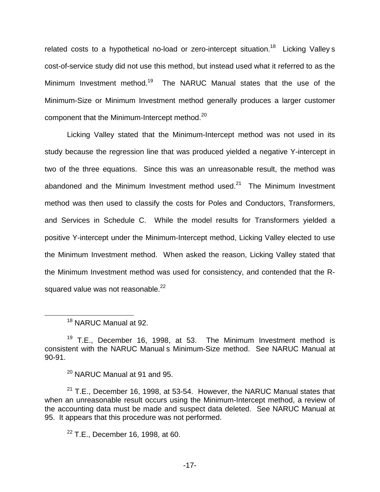related costs to a hypothetical no-load or zero-intercept situation.<sup>18</sup> Licking Valley s cost-of-service study did not use this method, but instead used what it referred to as the Minimum Investment method.<sup>19</sup> The NARUC Manual states that the use of the Minimum-Size or Minimum Investment method generally produces a larger customer component that the Minimum-Intercept method.<sup>20</sup>

Licking Valley stated that the Minimum-Intercept method was not used in its study because the regression line that was produced yielded a negative Y-intercept in two of the three equations. Since this was an unreasonable result, the method was abandoned and the Minimum Investment method used. $21$  The Minimum Investment method was then used to classify the costs for Poles and Conductors, Transformers, and Services in Schedule C. While the model results for Transformers yielded a positive Y-intercept under the Minimum-Intercept method, Licking Valley elected to use the Minimum Investment method. When asked the reason, Licking Valley stated that the Minimum Investment method was used for consistency, and contended that the Rsquared value was not reasonable.<sup>22</sup>

<sup>20</sup> NARUC Manual at 91 and 95.

 $21$  T.E., December 16, 1998, at 53-54. However, the NARUC Manual states that when an unreasonable result occurs using the Minimum-Intercept method, a review of the accounting data must be made and suspect data deleted. See NARUC Manual at 95. It appears that this procedure was not performed.

 $22$  T.E., December 16, 1998, at 60.

<sup>&</sup>lt;sup>18</sup> NARUC Manual at 92.

 $19$  T.E., December 16, 1998, at 53. The Minimum Investment method is consistent with the NARUC Manual s Minimum-Size method. See NARUC Manual at 90-91.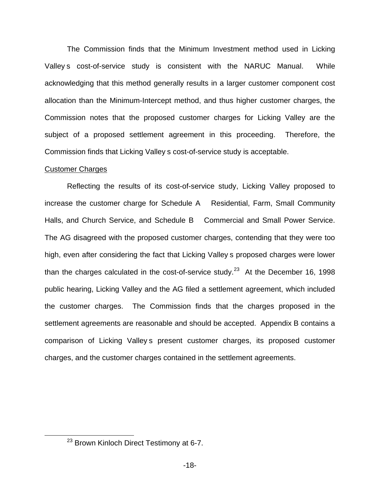The Commission finds that the Minimum Investment method used in Licking Valley s cost-of-service study is consistent with the NARUC Manual. While acknowledging that this method generally results in a larger customer component cost allocation than the Minimum-Intercept method, and thus higher customer charges, the Commission notes that the proposed customer charges for Licking Valley are the subject of a proposed settlement agreement in this proceeding. Therefore, the Commission finds that Licking Valley s cost-of-service study is acceptable.

### Customer Charges

Reflecting the results of its cost-of-service study, Licking Valley proposed to increase the customer charge for Schedule A Residential, Farm, Small Community Halls, and Church Service, and Schedule B Commercial and Small Power Service. The AG disagreed with the proposed customer charges, contending that they were too high, even after considering the fact that Licking Valley s proposed charges were lower than the charges calculated in the cost-of-service study.<sup>23</sup> At the December 16, 1998 public hearing, Licking Valley and the AG filed a settlement agreement, which included the customer charges. The Commission finds that the charges proposed in the settlement agreements are reasonable and should be accepted. Appendix B contains a comparison of Licking Valley s present customer charges, its proposed customer charges, and the customer charges contained in the settlement agreements.

<sup>&</sup>lt;sup>23</sup> Brown Kinloch Direct Testimony at 6-7.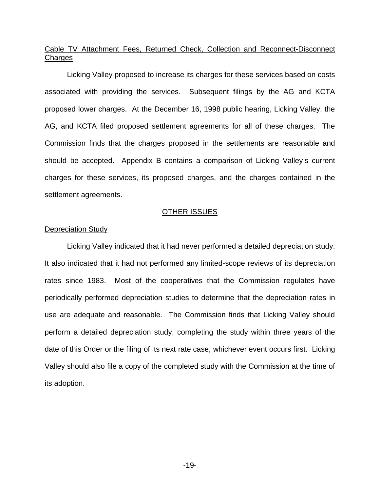## Cable TV Attachment Fees, Returned Check, Collection and Reconnect-Disconnect **Charges**

Licking Valley proposed to increase its charges for these services based on costs associated with providing the services. Subsequent filings by the AG and KCTA proposed lower charges. At the December 16, 1998 public hearing, Licking Valley, the AG, and KCTA filed proposed settlement agreements for all of these charges. The Commission finds that the charges proposed in the settlements are reasonable and should be accepted. Appendix B contains a comparison of Licking Valley s current charges for these services, its proposed charges, and the charges contained in the settlement agreements.

### OTHER ISSUES

### Depreciation Study

Licking Valley indicated that it had never performed a detailed depreciation study. It also indicated that it had not performed any limited-scope reviews of its depreciation rates since 1983. Most of the cooperatives that the Commission regulates have periodically performed depreciation studies to determine that the depreciation rates in use are adequate and reasonable. The Commission finds that Licking Valley should perform a detailed depreciation study, completing the study within three years of the date of this Order or the filing of its next rate case, whichever event occurs first. Licking Valley should also file a copy of the completed study with the Commission at the time of its adoption.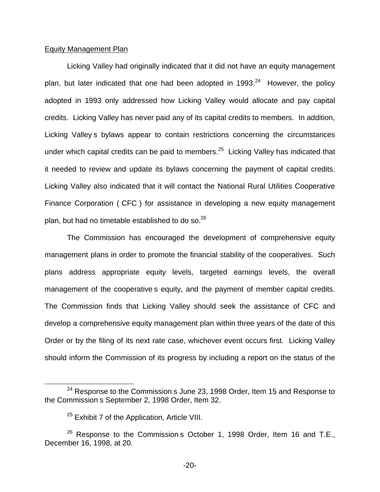### Equity Management Plan

Licking Valley had originally indicated that it did not have an equity management plan, but later indicated that one had been adopted in 1993. $24$  However, the policy adopted in 1993 only addressed how Licking Valley would allocate and pay capital credits. Licking Valley has never paid any of its capital credits to members. In addition, Licking Valley s bylaws appear to contain restrictions concerning the circumstances under which capital credits can be paid to members. $25$  Licking Valley has indicated that it needed to review and update its bylaws concerning the payment of capital credits. Licking Valley also indicated that it will contact the National Rural Utilities Cooperative Finance Corporation ( CFC ) for assistance in developing a new equity management plan, but had no timetable established to do so.<sup>26</sup>

The Commission has encouraged the development of comprehensive equity management plans in order to promote the financial stability of the cooperatives. Such plans address appropriate equity levels, targeted earnings levels, the overall management of the cooperative s equity, and the payment of member capital credits. The Commission finds that Licking Valley should seek the assistance of CFC and develop a comprehensive equity management plan within three years of the date of this Order or by the filing of its next rate case, whichever event occurs first. Licking Valley should inform the Commission of its progress by including a report on the status of the

 $24$  Response to the Commission s June 23, 1998 Order, Item 15 and Response to the Commission s September 2, 1998 Order, Item 32.

 $25$  Exhibit 7 of the Application, Article VIII.

 $26$  Response to the Commission s October 1, 1998 Order, Item 16 and T.E., December 16, 1998, at 20.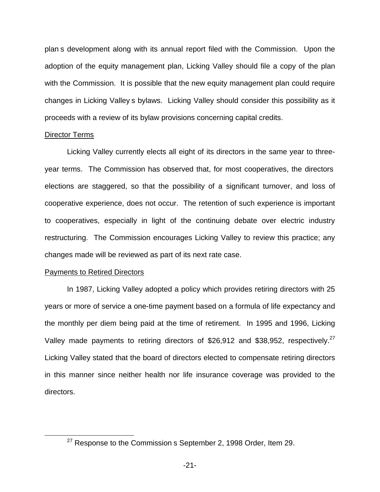plan s development along with its annual report filed with the Commission. Upon the adoption of the equity management plan, Licking Valley should file a copy of the plan with the Commission. It is possible that the new equity management plan could require changes in Licking Valley s bylaws. Licking Valley should consider this possibility as it proceeds with a review of its bylaw provisions concerning capital credits.

#### Director Terms

Licking Valley currently elects all eight of its directors in the same year to threeyear terms. The Commission has observed that, for most cooperatives, the directors elections are staggered, so that the possibility of a significant turnover, and loss of cooperative experience, does not occur. The retention of such experience is important to cooperatives, especially in light of the continuing debate over electric industry restructuring. The Commission encourages Licking Valley to review this practice; any changes made will be reviewed as part of its next rate case.

### Payments to Retired Directors

In 1987, Licking Valley adopted a policy which provides retiring directors with 25 years or more of service a one-time payment based on a formula of life expectancy and the monthly per diem being paid at the time of retirement. In 1995 and 1996, Licking Valley made payments to retiring directors of \$26,912 and \$38,952, respectively.<sup>27</sup> Licking Valley stated that the board of directors elected to compensate retiring directors in this manner since neither health nor life insurance coverage was provided to the directors.

 $27$  Response to the Commission s September 2, 1998 Order, Item 29.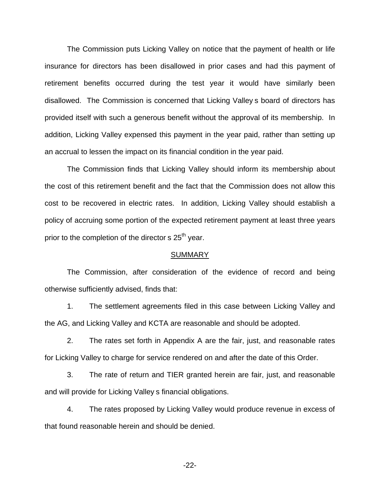The Commission puts Licking Valley on notice that the payment of health or life insurance for directors has been disallowed in prior cases and had this payment of retirement benefits occurred during the test year it would have similarly been disallowed. The Commission is concerned that Licking Valley s board of directors has provided itself with such a generous benefit without the approval of its membership. In addition, Licking Valley expensed this payment in the year paid, rather than setting up an accrual to lessen the impact on its financial condition in the year paid.

The Commission finds that Licking Valley should inform its membership about the cost of this retirement benefit and the fact that the Commission does not allow this cost to be recovered in electric rates. In addition, Licking Valley should establish a policy of accruing some portion of the expected retirement payment at least three years prior to the completion of the director  $s$  25<sup>th</sup> year.

#### SUMMARY

The Commission, after consideration of the evidence of record and being otherwise sufficiently advised, finds that:

1. The settlement agreements filed in this case between Licking Valley and the AG, and Licking Valley and KCTA are reasonable and should be adopted.

2. The rates set forth in Appendix A are the fair, just, and reasonable rates for Licking Valley to charge for service rendered on and after the date of this Order.

3. The rate of return and TIER granted herein are fair, just, and reasonable and will provide for Licking Valley s financial obligations.

4. The rates proposed by Licking Valley would produce revenue in excess of that found reasonable herein and should be denied.

-22-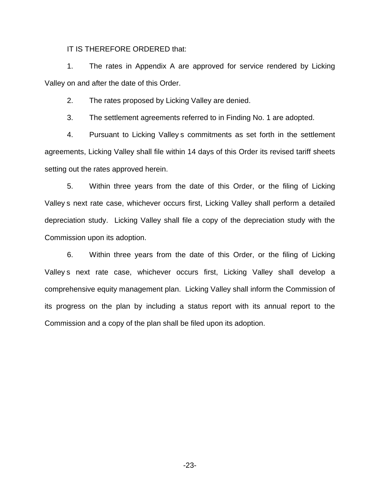### IT IS THEREFORE ORDERED that:

1. The rates in Appendix A are approved for service rendered by Licking Valley on and after the date of this Order.

2. The rates proposed by Licking Valley are denied.

3. The settlement agreements referred to in Finding No. 1 are adopted.

4. Pursuant to Licking Valley s commitments as set forth in the settlement agreements, Licking Valley shall file within 14 days of this Order its revised tariff sheets setting out the rates approved herein.

5. Within three years from the date of this Order, or the filing of Licking Valley s next rate case, whichever occurs first, Licking Valley shall perform a detailed depreciation study. Licking Valley shall file a copy of the depreciation study with the Commission upon its adoption.

6. Within three years from the date of this Order, or the filing of Licking Valley s next rate case, whichever occurs first, Licking Valley shall develop a comprehensive equity management plan. Licking Valley shall inform the Commission of its progress on the plan by including a status report with its annual report to the Commission and a copy of the plan shall be filed upon its adoption.

-23-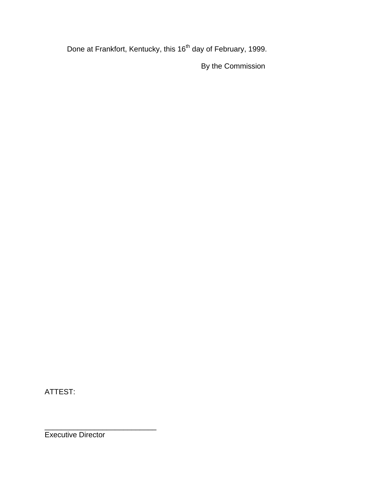Done at Frankfort, Kentucky, this 16<sup>th</sup> day of February, 1999.

By the Commission

ATTEST:

Executive Director

\_\_\_\_\_\_\_\_\_\_\_\_\_\_\_\_\_\_\_\_\_\_\_\_\_\_\_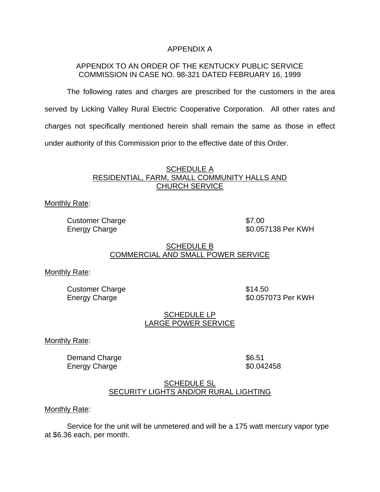### APPENDIX A

### APPENDIX TO AN ORDER OF THE KENTUCKY PUBLIC SERVICE COMMISSION IN CASE NO. 98-321 DATED FEBRUARY 16, 1999

The following rates and charges are prescribed for the customers in the area served by Licking Valley Rural Electric Cooperative Corporation. All other rates and charges not specifically mentioned herein shall remain the same as those in effect under authority of this Commission prior to the effective date of this Order.

### SCHEDULE A RESIDENTIAL, FARM, SMALL COMMUNITY HALLS AND CHURCH SERVICE

Monthly Rate:

Customer Charge  $$7.00$ 

Energy Charge **\$0.057138 Per KWH** 

### SCHEDULE B COMMERCIAL AND SMALL POWER SERVICE

Monthly Rate:

Customer Charge **\$14.50** 

Energy Charge  $$0.057073$  Per KWH

## SCHEDULE LP LARGE POWER SERVICE

Monthly Rate:

Demand Charge **\$6.51** Energy Charge **\$0.042458** 

### SCHEDULE SL SECURITY LIGHTS AND/OR RURAL LIGHTING

### Monthly Rate:

Service for the unit will be unmetered and will be a 175 watt mercury vapor type at \$6.36 each, per month.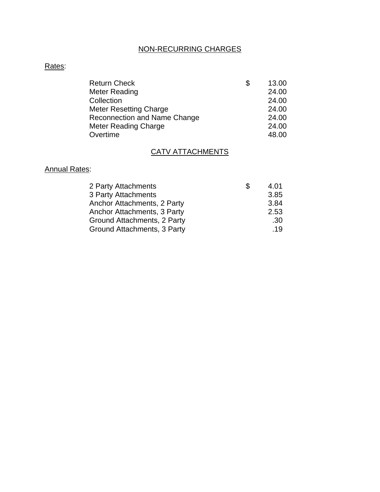# NON-RECURRING CHARGES

# Rates:

| <b>Return Check</b>                 | S | 13.00 |
|-------------------------------------|---|-------|
| Meter Reading                       |   | 24.00 |
| Collection                          |   | 24.00 |
| <b>Meter Resetting Charge</b>       |   | 24.00 |
| <b>Reconnection and Name Change</b> |   | 24.00 |
| Meter Reading Charge                |   | 24.00 |
| Overtime                            |   | 48.00 |

# CATV ATTACHMENTS

# Annual Rates:

| 2 Party Attachments         | 4.01 |
|-----------------------------|------|
| 3 Party Attachments         | 3.85 |
| Anchor Attachments, 2 Party | 3.84 |
| Anchor Attachments, 3 Party | 2.53 |
| Ground Attachments, 2 Party | .30  |
| Ground Attachments, 3 Party | .19  |